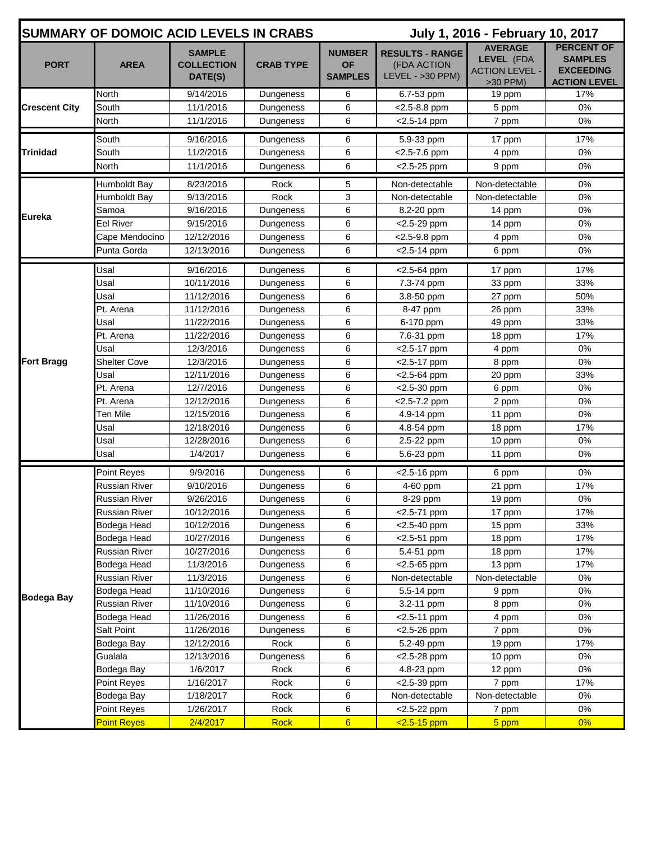| <b>SUMMARY OF DOMOIC ACID LEVELS IN CRABS</b> |                      |                                               |                        |                                              | July 1, 2016 - February 10, 2017                            |                                                                     |                                                                                |  |
|-----------------------------------------------|----------------------|-----------------------------------------------|------------------------|----------------------------------------------|-------------------------------------------------------------|---------------------------------------------------------------------|--------------------------------------------------------------------------------|--|
| <b>PORT</b>                                   | <b>AREA</b>          | <b>SAMPLE</b><br><b>COLLECTION</b><br>DATE(S) | <b>CRAB TYPE</b>       | <b>NUMBER</b><br><b>OF</b><br><b>SAMPLES</b> | <b>RESULTS - RANGE</b><br>(FDA ACTION<br>$LEVEL - >30$ PPM) | <b>AVERAGE</b><br>LEVEL (FDA<br><b>ACTION LEVEL -</b><br>$>30$ PPM) | <b>PERCENT OF</b><br><b>SAMPLES</b><br><b>EXCEEDING</b><br><b>ACTION LEVEL</b> |  |
| <b>Crescent City</b>                          | North                | 9/14/2016                                     | Dungeness              | 6                                            | 6.7-53 ppm                                                  | 19 ppm                                                              | 17%                                                                            |  |
|                                               | South                | 11/1/2016                                     | Dungeness              | 6                                            | $<$ 2.5-8.8 ppm                                             | 5 ppm                                                               | 0%                                                                             |  |
|                                               | North                | 11/1/2016                                     | Dungeness              | 6                                            | $<$ 2.5-14 ppm                                              | 7 ppm                                                               | 0%                                                                             |  |
| <b>Trinidad</b>                               | South                | 9/16/2016                                     | Dungeness              | 6                                            | 5.9-33 ppm                                                  | 17 ppm                                                              | 17%                                                                            |  |
|                                               | South                | 11/2/2016                                     | Dungeness              | 6                                            | <2.5-7.6 ppm                                                | 4 ppm                                                               | 0%                                                                             |  |
|                                               | North                | 11/1/2016                                     | Dungeness              | 6                                            | $<$ 2.5-25 ppm                                              | 9 ppm                                                               | 0%                                                                             |  |
|                                               | Humboldt Bay         | 8/23/2016                                     | Rock                   | 5                                            | Non-detectable                                              | Non-detectable                                                      | 0%                                                                             |  |
|                                               | Humboldt Bay         | 9/13/2016                                     | Rock                   | 3                                            | Non-detectable                                              | Non-detectable                                                      | 0%                                                                             |  |
|                                               | Samoa                | 9/16/2016                                     | Dungeness              | 6                                            | 8.2-20 ppm                                                  | 14 ppm                                                              | 0%                                                                             |  |
| Eureka                                        | Eel River            | 9/15/2016                                     | Dungeness              | 6                                            | $<$ 2.5-29 ppm                                              | 14 ppm                                                              | 0%                                                                             |  |
|                                               | Cape Mendocino       | 12/12/2016                                    | Dungeness              | 6                                            | <2.5-9.8 ppm                                                | 4 ppm                                                               | 0%                                                                             |  |
|                                               | Punta Gorda          | 12/13/2016                                    | Dungeness              | 6                                            | $<$ 2.5-14 ppm                                              | 6 ppm                                                               | 0%                                                                             |  |
|                                               | Usal                 |                                               |                        | 6                                            |                                                             |                                                                     | 17%                                                                            |  |
|                                               | Usal                 | 9/16/2016<br>10/11/2016                       | Dungeness<br>Dungeness | 6                                            | <2.5-64 ppm<br>7.3-74 ppm                                   | 17 ppm<br>33 ppm                                                    | 33%                                                                            |  |
|                                               | Usal                 | 11/12/2016                                    | Dungeness              | 6                                            | 3.8-50 ppm                                                  | 27 ppm                                                              | 50%                                                                            |  |
|                                               | Pt. Arena            | 11/12/2016                                    | Dungeness              | 6                                            | 8-47 ppm                                                    | 26 ppm                                                              | 33%                                                                            |  |
|                                               | Usal                 | 11/22/2016                                    | Dungeness              | 6                                            | 6-170 ppm                                                   | 49 ppm                                                              | 33%                                                                            |  |
|                                               | Pt. Arena            | 11/22/2016                                    | Dungeness              | 6                                            | 7.6-31 ppm                                                  | 18 ppm                                                              | 17%                                                                            |  |
|                                               | Usal                 | 12/3/2016                                     | Dungeness              | 6                                            | <2.5-17 ppm                                                 | 4 ppm                                                               | 0%                                                                             |  |
| <b>Fort Bragg</b>                             | <b>Shelter Cove</b>  | 12/3/2016                                     | Dungeness              | 6                                            | <2.5-17 ppm                                                 | 8 ppm                                                               | 0%                                                                             |  |
|                                               | Usal                 | 12/11/2016                                    | Dungeness              | 6                                            | <2.5-64 ppm                                                 | 20 ppm                                                              | 33%                                                                            |  |
|                                               | Pt. Arena            | 12/7/2016                                     | Dungeness              | 6                                            | <2.5-30 ppm                                                 | 6 ppm                                                               | 0%                                                                             |  |
|                                               | Pt. Arena            | 12/12/2016                                    | Dungeness              | 6                                            | <2.5-7.2 ppm                                                | 2 ppm                                                               | 0%                                                                             |  |
|                                               | Ten Mile             | 12/15/2016                                    | Dungeness              | 6                                            | 4.9-14 ppm                                                  | 11 ppm                                                              | 0%                                                                             |  |
|                                               | Usal                 | 12/18/2016                                    | Dungeness              | 6                                            | 4.8-54 ppm                                                  | 18 ppm                                                              | 17%                                                                            |  |
|                                               | Usal                 | 12/28/2016                                    | Dungeness              | 6                                            | 2.5-22 ppm                                                  | 10 ppm                                                              | 0%                                                                             |  |
|                                               | Usal                 | 1/4/2017                                      | Dungeness              | 6                                            | 5.6-23 ppm                                                  | 11 ppm                                                              | 0%                                                                             |  |
| <b>Bodega Bay</b>                             | Point Reyes          | 9/9/2016                                      | Dungeness              | 6                                            | <2.5-16 ppm                                                 | 6 ppm                                                               | 0%                                                                             |  |
|                                               | Russian River        | 9/10/2016                                     | Dungeness              | 6                                            | 4-60 ppm                                                    | 21 ppm                                                              | 17%                                                                            |  |
|                                               | <b>Russian River</b> | 9/26/2016                                     | Dungeness              | 6                                            | 8-29 ppm                                                    | 19 ppm                                                              | $0\%$                                                                          |  |
|                                               | <b>Russian River</b> | 10/12/2016                                    | Dungeness              | 6                                            | <2.5-71 ppm                                                 | 17 ppm                                                              | 17%                                                                            |  |
|                                               | Bodega Head          | 10/12/2016                                    | Dungeness              | 6                                            | <2.5-40 ppm                                                 | 15 ppm                                                              | 33%                                                                            |  |
|                                               | Bodega Head          | 10/27/2016                                    | Dungeness              | 6                                            | $<$ 2.5-51 ppm                                              | 18 ppm                                                              | 17%                                                                            |  |
|                                               | Russian River        | 10/27/2016                                    | Dungeness              | 6                                            | 5.4-51 ppm                                                  | 18 ppm                                                              | 17%                                                                            |  |
|                                               | Bodega Head          | 11/3/2016                                     | Dungeness              | 6                                            | $<$ 2.5-65 ppm                                              | 13 ppm                                                              | 17%                                                                            |  |
|                                               | Russian River        | 11/3/2016                                     | Dungeness              | 6                                            | Non-detectable                                              | Non-detectable                                                      | 0%                                                                             |  |
|                                               | Bodega Head          | 11/10/2016                                    | Dungeness              | 6                                            | 5.5-14 ppm                                                  | 9 ppm                                                               | 0%                                                                             |  |
|                                               | Russian River        | 11/10/2016                                    | Dungeness              | 6                                            | 3.2-11 ppm                                                  | 8 ppm                                                               | 0%                                                                             |  |
|                                               | Bodega Head          | 11/26/2016                                    | Dungeness              | 6                                            | $<$ 2.5-11 ppm                                              | 4 ppm                                                               | 0%                                                                             |  |
|                                               | <b>Salt Point</b>    | 11/26/2016                                    | Dungeness              | 6                                            | <2.5-26 ppm                                                 | 7 ppm                                                               | 0%                                                                             |  |
|                                               | Bodega Bay           | 12/12/2016                                    | Rock                   | 6                                            | 5.2-49 ppm                                                  | 19 ppm                                                              | 17%                                                                            |  |
|                                               | Gualala              | 12/13/2016                                    | Dungeness              | 6                                            | <2.5-28 ppm                                                 | 10 ppm                                                              | 0%                                                                             |  |
|                                               | Bodega Bay           | 1/6/2017                                      | Rock                   | 6                                            | 4.8-23 ppm                                                  | 12 ppm                                                              | 0%                                                                             |  |
|                                               | Point Reyes          | 1/16/2017                                     | Rock                   | 6                                            | $<$ 2.5-39 ppm                                              | 7 ppm                                                               | 17%                                                                            |  |
|                                               | Bodega Bay           | 1/18/2017                                     | Rock                   | 6                                            | Non-detectable                                              | Non-detectable                                                      | 0%                                                                             |  |
|                                               | Point Reyes          | 1/26/2017                                     | Rock                   | 6                                            | $<$ 2.5-22 ppm                                              | 7 ppm                                                               | $0\%$                                                                          |  |
|                                               | <b>Point Reyes</b>   | 2/4/2017                                      | <b>Rock</b>            | $6\phantom{1}$                               | $2.5 - 15$ ppm                                              | 5 ppm                                                               | 0%                                                                             |  |